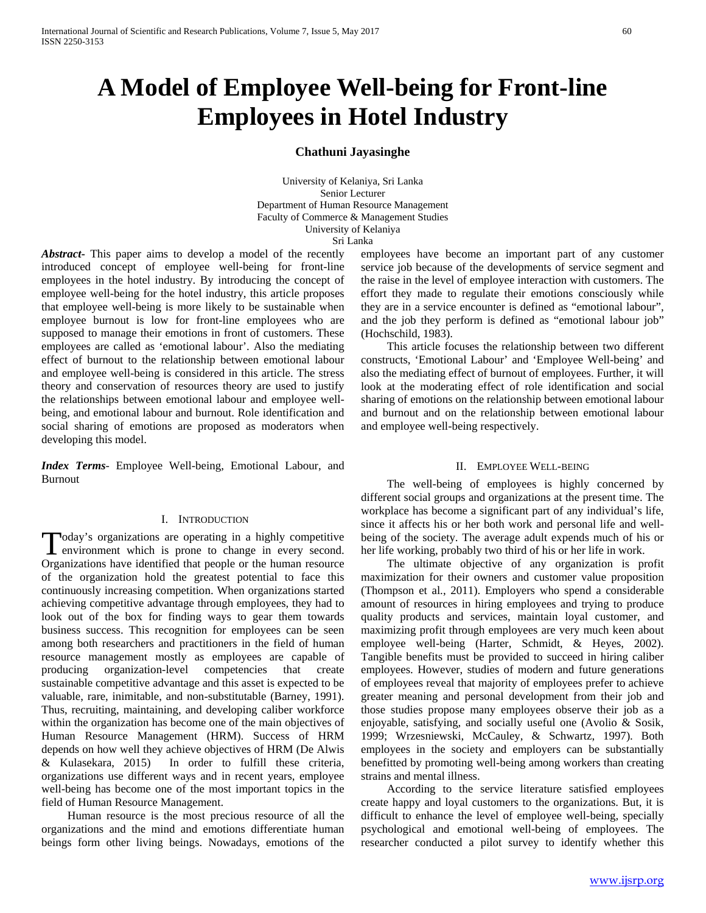# **A Model of Employee Well-being for Front-line Employees in Hotel Industry**

# **Chathuni Jayasinghe**

University of Kelaniya, Sri Lanka Senior Lecturer Department of Human Resource Management Faculty of Commerce & Management Studies University of Kelaniya

Sri Lanka

*Abstract***-** This paper aims to develop a model of the recently introduced concept of employee well-being for front-line employees in the hotel industry. By introducing the concept of employee well-being for the hotel industry, this article proposes that employee well-being is more likely to be sustainable when employee burnout is low for front-line employees who are supposed to manage their emotions in front of customers. These employees are called as 'emotional labour'. Also the mediating effect of burnout to the relationship between emotional labour and employee well-being is considered in this article. The stress theory and conservation of resources theory are used to justify the relationships between emotional labour and employee wellbeing, and emotional labour and burnout. Role identification and social sharing of emotions are proposed as moderators when developing this model.

*Index Terms*- Employee Well-being, Emotional Labour, and Burnout

# I. INTRODUCTION

oday's organizations are operating in a highly competitive Today's organizations are operating in a highly competitive<br>environment which is prone to change in every second. Organizations have identified that people or the human resource of the organization hold the greatest potential to face this continuously increasing competition. When organizations started achieving competitive advantage through employees, they had to look out of the box for finding ways to gear them towards business success. This recognition for employees can be seen among both researchers and practitioners in the field of human resource management mostly as employees are capable of producing organization-level competencies that create sustainable competitive advantage and this asset is expected to be valuable, rare, inimitable, and non-substitutable (Barney, 1991). Thus, recruiting, maintaining, and developing caliber workforce within the organization has become one of the main objectives of Human Resource Management (HRM). Success of HRM depends on how well they achieve objectives of HRM (De Alwis & Kulasekara, 2015) In order to fulfill these criteria, organizations use different ways and in recent years, employee well-being has become one of the most important topics in the field of Human Resource Management.

 Human resource is the most precious resource of all the organizations and the mind and emotions differentiate human beings form other living beings. Nowadays, emotions of the

employees have become an important part of any customer service job because of the developments of service segment and the raise in the level of employee interaction with customers. The effort they made to regulate their emotions consciously while they are in a service encounter is defined as "emotional labour", and the job they perform is defined as "emotional labour job" (Hochschild, 1983).

 This article focuses the relationship between two different constructs, 'Emotional Labour' and 'Employee Well-being' and also the mediating effect of burnout of employees. Further, it will look at the moderating effect of role identification and social sharing of emotions on the relationship between emotional labour and burnout and on the relationship between emotional labour and employee well-being respectively.

#### II. EMPLOYEE WELL-BEING

 The well-being of employees is highly concerned by different social groups and organizations at the present time. The workplace has become a significant part of any individual's life, since it affects his or her both work and personal life and wellbeing of the society. The average adult expends much of his or her life working, probably two third of his or her life in work.

 The ultimate objective of any organization is profit maximization for their owners and customer value proposition (Thompson et al., 2011). Employers who spend a considerable amount of resources in hiring employees and trying to produce quality products and services, maintain loyal customer, and maximizing profit through employees are very much keen about employee well-being (Harter, Schmidt, & Heyes, 2002). Tangible benefits must be provided to succeed in hiring caliber employees. However, studies of modern and future generations of employees reveal that majority of employees prefer to achieve greater meaning and personal development from their job and those studies propose many employees observe their job as a enjoyable, satisfying, and socially useful one (Avolio & Sosik, 1999; Wrzesniewski, McCauley, & Schwartz, 1997). Both employees in the society and employers can be substantially benefitted by promoting well-being among workers than creating strains and mental illness.

 According to the service literature satisfied employees create happy and loyal customers to the organizations. But, it is difficult to enhance the level of employee well-being, specially psychological and emotional well-being of employees. The researcher conducted a pilot survey to identify whether this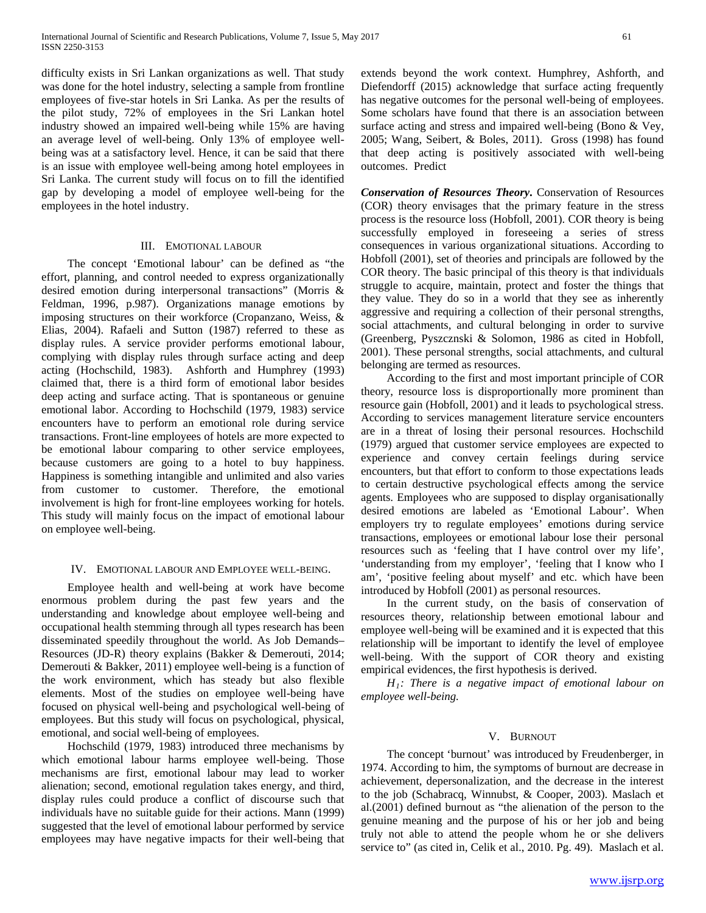difficulty exists in Sri Lankan organizations as well. That study was done for the hotel industry, selecting a sample from frontline employees of five-star hotels in Sri Lanka. As per the results of the pilot study, 72% of employees in the Sri Lankan hotel industry showed an impaired well-being while 15% are having an average level of well-being. Only 13% of employee wellbeing was at a satisfactory level. Hence, it can be said that there is an issue with employee well-being among hotel employees in Sri Lanka. The current study will focus on to fill the identified gap by developing a model of employee well-being for the employees in the hotel industry.

#### III. EMOTIONAL LABOUR

 The concept 'Emotional labour' can be defined as "the effort, planning, and control needed to express organizationally desired emotion during interpersonal transactions" (Morris & Feldman, 1996, p.987). Organizations manage emotions by imposing structures on their workforce (Cropanzano, Weiss, & Elias, 2004). Rafaeli and Sutton (1987) referred to these as display rules. A service provider performs emotional labour, complying with display rules through surface acting and deep acting (Hochschild, 1983). Ashforth and Humphrey (1993) claimed that, there is a third form of emotional labor besides deep acting and surface acting. That is spontaneous or genuine emotional labor. According to Hochschild (1979, 1983) service encounters have to perform an emotional role during service transactions. Front-line employees of hotels are more expected to be emotional labour comparing to other service employees, because customers are going to a hotel to buy happiness. Happiness is something intangible and unlimited and also varies from customer to customer. Therefore, the emotional involvement is high for front-line employees working for hotels. This study will mainly focus on the impact of emotional labour on employee well-being.

#### IV. EMOTIONAL LABOUR AND EMPLOYEE WELL-BEING.

 Employee health and well-being at work have become enormous problem during the past few years and the understanding and knowledge about employee well-being and occupational health stemming through all types research has been disseminated speedily throughout the world. As Job Demands– Resources (JD-R) theory explains (Bakker & Demerouti, 2014; Demerouti & Bakker, 2011) employee well-being is a function of the work environment, which has steady but also flexible elements. Most of the studies on employee well-being have focused on physical well-being and psychological well-being of employees. But this study will focus on psychological, physical, emotional, and social well-being of employees.

 Hochschild (1979, 1983) introduced three mechanisms by which emotional labour harms employee well-being. Those mechanisms are first, emotional labour may lead to worker alienation; second, emotional regulation takes energy, and third, display rules could produce a conflict of discourse such that individuals have no suitable guide for their actions. Mann (1999) suggested that the level of emotional labour performed by service employees may have negative impacts for their well-being that extends beyond the work context. Humphrey, Ashforth, and Diefendorff (2015) acknowledge that surface acting frequently has negative outcomes for the personal well-being of employees. Some scholars have found that there is an association between surface acting and stress and impaired well-being (Bono & Vey, 2005; Wang, Seibert, & Boles, 2011). Gross (1998) has found that deep acting is positively associated with well-being outcomes. Predict

*Conservation of Resources Theory***.** Conservation of Resources (COR) theory envisages that the primary feature in the stress process is the resource loss (Hobfoll, 2001). COR theory is being successfully employed in foreseeing a series of stress consequences in various organizational situations. According to Hobfoll (2001), set of theories and principals are followed by the COR theory. The basic principal of this theory is that individuals struggle to acquire, maintain, protect and foster the things that they value. They do so in a world that they see as inherently aggressive and requiring a collection of their personal strengths, social attachments, and cultural belonging in order to survive (Greenberg, Pyszcznski & Solomon, 1986 as cited in Hobfoll, 2001). These personal strengths, social attachments, and cultural belonging are termed as resources.

 According to the first and most important principle of COR theory, resource loss is disproportionally more prominent than resource gain (Hobfoll, 2001) and it leads to psychological stress. According to services management literature service encounters are in a threat of losing their personal resources. Hochschild (1979) argued that customer service employees are expected to experience and convey certain feelings during service encounters, but that effort to conform to those expectations leads to certain destructive psychological effects among the service agents. Employees who are supposed to display organisationally desired emotions are labeled as 'Emotional Labour'. When employers try to regulate employees' emotions during service transactions, employees or emotional labour lose their personal resources such as 'feeling that I have control over my life', 'understanding from my employer', 'feeling that I know who I am', 'positive feeling about myself' and etc. which have been introduced by Hobfoll (2001) as personal resources.

 In the current study, on the basis of conservation of resources theory, relationship between emotional labour and employee well-being will be examined and it is expected that this relationship will be important to identify the level of employee well-being. With the support of COR theory and existing empirical evidences, the first hypothesis is derived.

 *H1: There is a negative impact of emotional labour on employee well-being.*

#### V. BURNOUT

 The concept 'burnout' was introduced by Freudenberger, in 1974. According to him, the symptoms of burnout are decrease in achievement, depersonalization, and the decrease in the interest to the job (Schabracq, Winnubst, & Cooper, 2003). Maslach et al.(2001) defined burnout as "the alienation of the person to the genuine meaning and the purpose of his or her job and being truly not able to attend the people whom he or she delivers service to" (as cited in, Celik et al., 2010. Pg. 49). Maslach et al.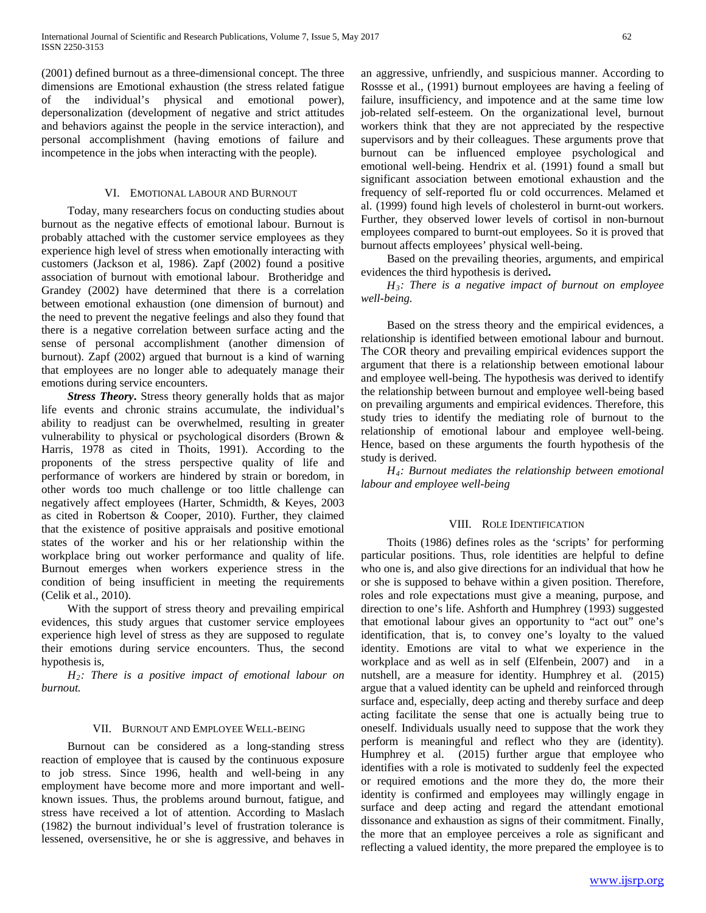(2001) defined burnout as a three-dimensional concept. The three dimensions are Emotional exhaustion (the stress related fatigue of the individual's physical and emotional power), depersonalization (development of negative and strict attitudes and behaviors against the people in the service interaction), and personal accomplishment (having emotions of failure and incompetence in the jobs when interacting with the people).

# VI. EMOTIONAL LABOUR AND BURNOUT

 Today, many researchers focus on conducting studies about burnout as the negative effects of emotional labour. Burnout is probably attached with the customer service employees as they experience high level of stress when emotionally interacting with customers (Jackson et al, 1986). Zapf (2002) found a positive association of burnout with emotional labour. Brotheridge and Grandey (2002) have determined that there is a correlation between emotional exhaustion (one dimension of burnout) and the need to prevent the negative feelings and also they found that there is a negative correlation between surface acting and the sense of personal accomplishment (another dimension of burnout). Zapf (2002) argued that burnout is a kind of warning that employees are no longer able to adequately manage their emotions during service encounters.

 *Stress Theory***.** Stress theory generally holds that as major life events and chronic strains accumulate, the individual's ability to readjust can be overwhelmed, resulting in greater vulnerability to physical or psychological disorders (Brown & Harris, 1978 as cited in Thoits, 1991). According to the proponents of the stress perspective quality of life and performance of workers are hindered by strain or boredom, in other words too much challenge or too little challenge can negatively affect employees (Harter, Schmidth, & Keyes, 2003 as cited in Robertson & Cooper, 2010). Further, they claimed that the existence of positive appraisals and positive emotional states of the worker and his or her relationship within the workplace bring out worker performance and quality of life. Burnout emerges when workers experience stress in the condition of being insufficient in meeting the requirements (Celik et al., 2010).

 With the support of stress theory and prevailing empirical evidences, this study argues that customer service employees experience high level of stress as they are supposed to regulate their emotions during service encounters. Thus, the second hypothesis is,

 *H2: There is a positive impact of emotional labour on burnout.*

# VII. BURNOUT AND EMPLOYEE WELL-BEING

 Burnout can be considered as a long-standing stress reaction of employee that is caused by the continuous exposure to job stress. Since 1996, health and well-being in any employment have become more and more important and wellknown issues. Thus, the problems around burnout, fatigue, and stress have received a lot of attention. According to Maslach (1982) the burnout individual's level of frustration tolerance is lessened, oversensitive, he or she is aggressive, and behaves in an aggressive, unfriendly, and suspicious manner. According to Rossse et al., (1991) burnout employees are having a feeling of failure, insufficiency, and impotence and at the same time low job-related self-esteem. On the organizational level, burnout workers think that they are not appreciated by the respective supervisors and by their colleagues. These arguments prove that burnout can be influenced employee psychological and emotional well-being. Hendrix et al. (1991) found a small but significant association between emotional exhaustion and the frequency of self-reported flu or cold occurrences. Melamed et al. (1999) found high levels of cholesterol in burnt-out workers. Further, they observed lower levels of cortisol in non-burnout employees compared to burnt-out employees. So it is proved that burnout affects employees' physical well-being.

 Based on the prevailing theories, arguments, and empirical evidences the third hypothesis is derived**.** 

 *H3: There is a negative impact of burnout on employee well-being.*

 Based on the stress theory and the empirical evidences, a relationship is identified between emotional labour and burnout. The COR theory and prevailing empirical evidences support the argument that there is a relationship between emotional labour and employee well-being. The hypothesis was derived to identify the relationship between burnout and employee well-being based on prevailing arguments and empirical evidences. Therefore, this study tries to identify the mediating role of burnout to the relationship of emotional labour and employee well-being. Hence, based on these arguments the fourth hypothesis of the study is derived.

 *H4: Burnout mediates the relationship between emotional labour and employee well-being*

### VIII. ROLE IDENTIFICATION

 Thoits (1986) defines roles as the 'scripts' for performing particular positions. Thus, role identities are helpful to define who one is, and also give directions for an individual that how he or she is supposed to behave within a given position. Therefore, roles and role expectations must give a meaning, purpose, and direction to one's life. Ashforth and Humphrey (1993) suggested that emotional labour gives an opportunity to "act out" one's identification, that is, to convey one's loyalty to the valued identity. Emotions are vital to what we experience in the workplace and as well as in self (Elfenbein, 2007) and in a nutshell, are a measure for identity. Humphrey et al. (2015) argue that a valued identity can be upheld and reinforced through surface and, especially, deep acting and thereby surface and deep acting facilitate the sense that one is actually being true to oneself. Individuals usually need to suppose that the work they perform is meaningful and reflect who they are (identity). Humphrey et al. (2015) further argue that employee who identifies with a role is motivated to suddenly feel the expected or required emotions and the more they do, the more their identity is confirmed and employees may willingly engage in surface and deep acting and regard the attendant emotional dissonance and exhaustion as signs of their commitment. Finally, the more that an employee perceives a role as significant and reflecting a valued identity, the more prepared the employee is to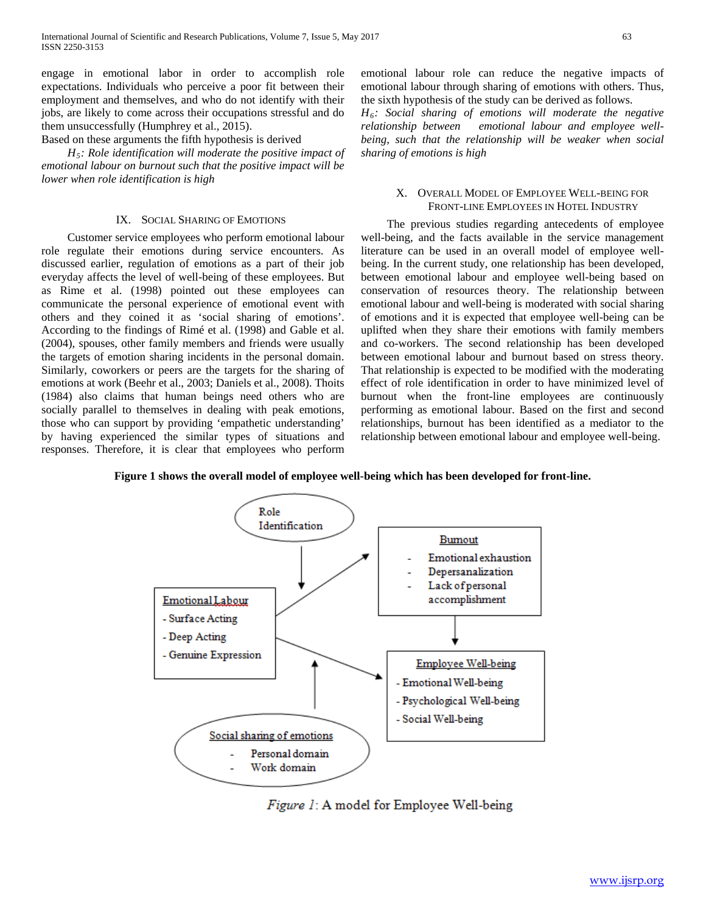engage in emotional labor in order to accomplish role expectations. Individuals who perceive a poor fit between their employment and themselves, and who do not identify with their jobs, are likely to come across their occupations stressful and do them unsuccessfully (Humphrey et al., 2015).

Based on these arguments the fifth hypothesis is derived

 *H5: Role identification will moderate the positive impact of emotional labour on burnout such that the positive impact will be lower when role identification is high* 

# IX. SOCIAL SHARING OF EMOTIONS

 Customer service employees who perform emotional labour role regulate their emotions during service encounters. As discussed earlier, regulation of emotions as a part of their job everyday affects the level of well-being of these employees. But as Rime et al. (1998) pointed out these employees can communicate the personal experience of emotional event with others and they coined it as 'social sharing of emotions'. According to the findings of Rimé et al. (1998) and Gable et al. (2004), spouses, other family members and friends were usually the targets of emotion sharing incidents in the personal domain. Similarly, coworkers or peers are the targets for the sharing of emotions at work (Beehr et al., 2003; Daniels et al., 2008). Thoits (1984) also claims that human beings need others who are socially parallel to themselves in dealing with peak emotions, those who can support by providing 'empathetic understanding' by having experienced the similar types of situations and responses. Therefore, it is clear that employees who perform emotional labour role can reduce the negative impacts of emotional labour through sharing of emotions with others. Thus, the sixth hypothesis of the study can be derived as follows.

*H6: Social sharing of emotions will moderate the negative relationship between emotional labour and employee wellbeing, such that the relationship will be weaker when social sharing of emotions is high*

# X. OVERALL MODEL OF EMPLOYEE WELL-BEING FOR FRONT-LINE EMPLOYEES IN HOTEL INDUSTRY

 The previous studies regarding antecedents of employee well-being, and the facts available in the service management literature can be used in an overall model of employee wellbeing. In the current study, one relationship has been developed, between emotional labour and employee well-being based on conservation of resources theory. The relationship between emotional labour and well-being is moderated with social sharing of emotions and it is expected that employee well-being can be uplifted when they share their emotions with family members and co-workers. The second relationship has been developed between emotional labour and burnout based on stress theory. That relationship is expected to be modified with the moderating effect of role identification in order to have minimized level of burnout when the front-line employees are continuously performing as emotional labour. Based on the first and second relationships, burnout has been identified as a mediator to the relationship between emotional labour and employee well-being.

**Figure 1 shows the overall model of employee well-being which has been developed for front-line.**



Figure 1: A model for Employee Well-being